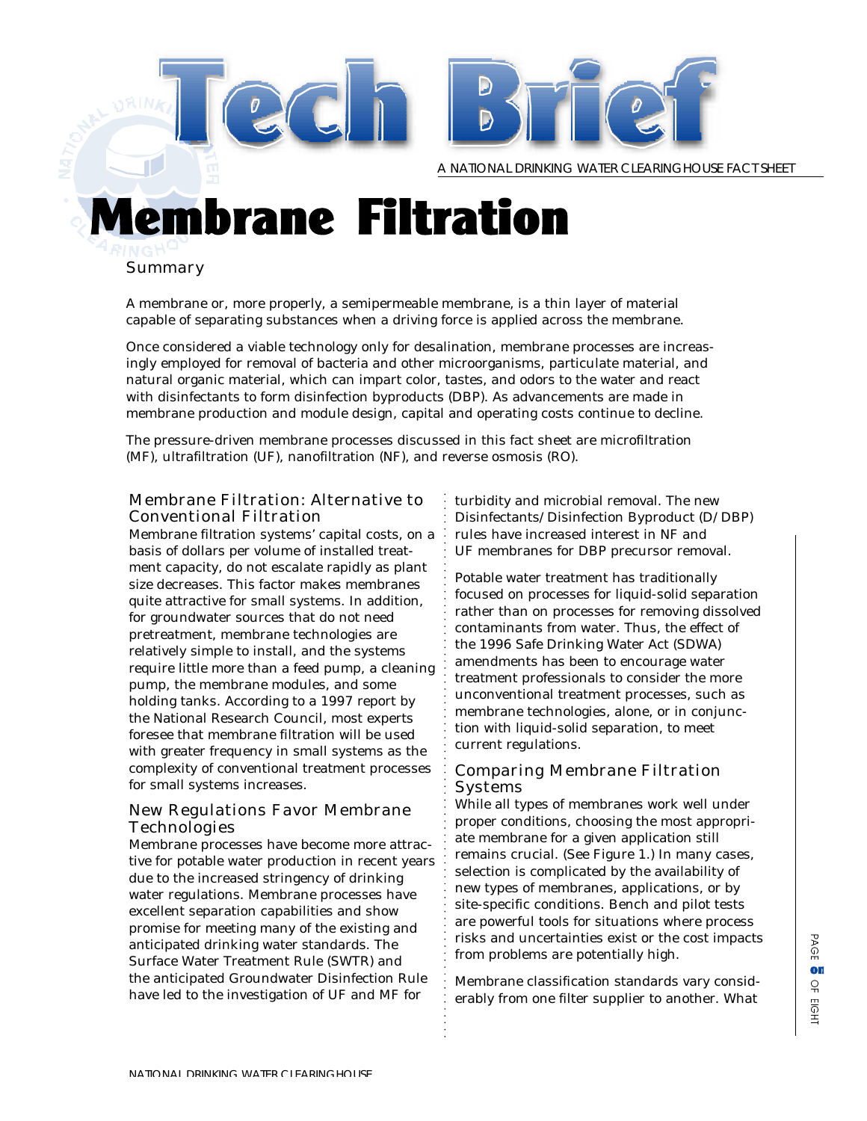

A NATIONAL DRINKING WATER CLEARINGHOUSE FACT SHEET

# lembrane Filtration

## Summary

A membrane or, more properly, a semipermeable membrane, is a thin layer of material capable of separating substances when a driving force is applied across the membrane.

Once considered a viable technology only for desalination, membrane processes are increasingly employed for removal of bacteria and other microorganisms, particulate material, and natural organic material, which can impart color, tastes, and odors to the water and react with disinfectants to form disinfection byproducts (DBP). As advancements are made in membrane production and module design, capital and operating costs continue to decline.

The pressure-driven membrane processes discussed in this fact sheet are microfiltration (MF), ultrafiltration (UF), nanofiltration (NF), and reverse osmosis (RO).

## Membrane Filtration: Alternative to Conventional Filtration

Membrane filtration systems' capital costs, on a basis of dollars per volume of installed treatment capacity, do not escalate rapidly as plant size decreases. This factor makes membranes quite attractive for small systems. In addition, for groundwater sources that do not need pretreatment, membrane technologies are relatively simple to install, and the systems require little more than a feed pump, a cleaning pump, the membrane modules, and some holding tanks. According to a 1997 report by the National Research Council, most experts foresee that membrane filtration will be used with greater frequency in small systems as the complexity of conventional treatment processes for small systems increases.

## New Regulations Favor Membrane Technologies

Membrane processes have become more attractive for potable water production in recent years due to the increased stringency of drinking water regulations. Membrane processes have excellent separation capabilities and show promise for meeting many of the existing and anticipated drinking water standards. The Surface Water Treatment Rule (SWTR) and the anticipated Groundwater Disinfection Rule have led to the investigation of UF and MF for

turbidity and microbial removal. The new Disinfectants/Disinfection Byproduct (D/DBP) rules have increased interest in NF and UF membranes for DBP precursor removal.

Potable water treatment has traditionally focused on processes for liquid-solid separation rather than on processes for removing dissolved contaminants from water. Thus, the effect of the 1996 Safe Drinking Water Act (SDWA) amendments has been to encourage water treatment professionals to consider the more unconventional treatment processes, such as membrane technologies, alone, or in conjunction with liquid-solid separation, to meet current regulations.

## Comparing Membrane Filtration Systems

While all types of membranes work well under proper conditions, choosing the most appropriate membrane for a given application still remains crucial. (See Figure 1.) In many cases, selection is complicated by the availability of new types of membranes, applications, or by site-specific conditions. Bench and pilot tests are powerful tools for situations where process risks and uncertainties exist or the cost impacts from problems are potentially high.

Membrane classification standards vary considerably from one filter supplier to another. What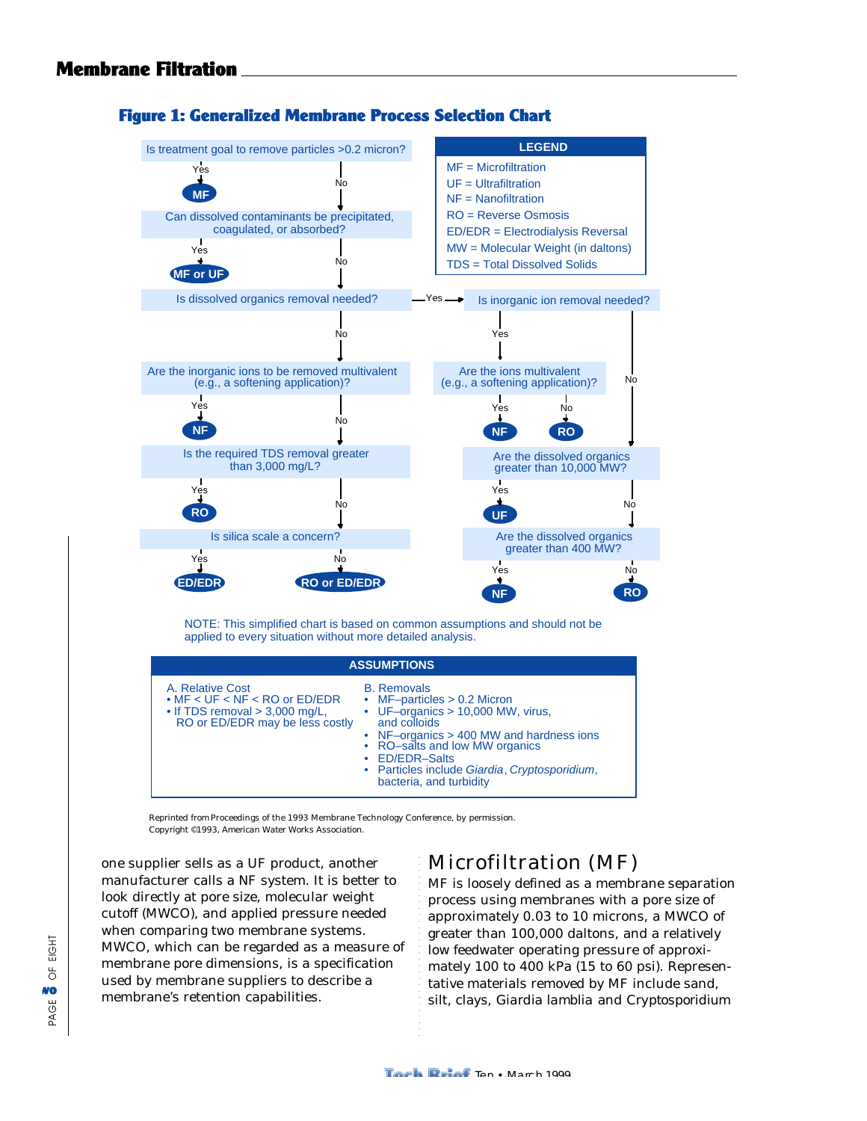

## **Figure 1: Generalized Membrane Process Selection Chart**

NOTE: This simplified chart is based on common assumptions and should not be applied to every situation without more detailed analysis.

#### **ASSUMPTIONS**



*Reprinted from* Proceedings of the 1993 Membrane Technology Conference*, by permission. Copyright ©1993, American Water Works Association.*

one supplier sells as a UF product, another manufacturer calls a NF system. It is better to look directly at pore size, molecular weight cutoff (MWCO), and applied pressure needed when comparing two membrane systems. MWCO, which can be regarded as a measure of membrane pore dimensions, is a specification used by membrane suppliers to describe a membrane's retention capabilities.

# Microfiltration (MF)

MF is loosely defined as a membrane separation process using membranes with a pore size of approximately 0.03 to 10 microns, a MWCO of greater than 100,000 daltons, and a relatively low feedwater operating pressure of approximately 100 to 400 kPa (15 to 60 psi). Representative materials removed by MF include sand, silt, clays, *Giardia lamblia* and *Cryptosporidium*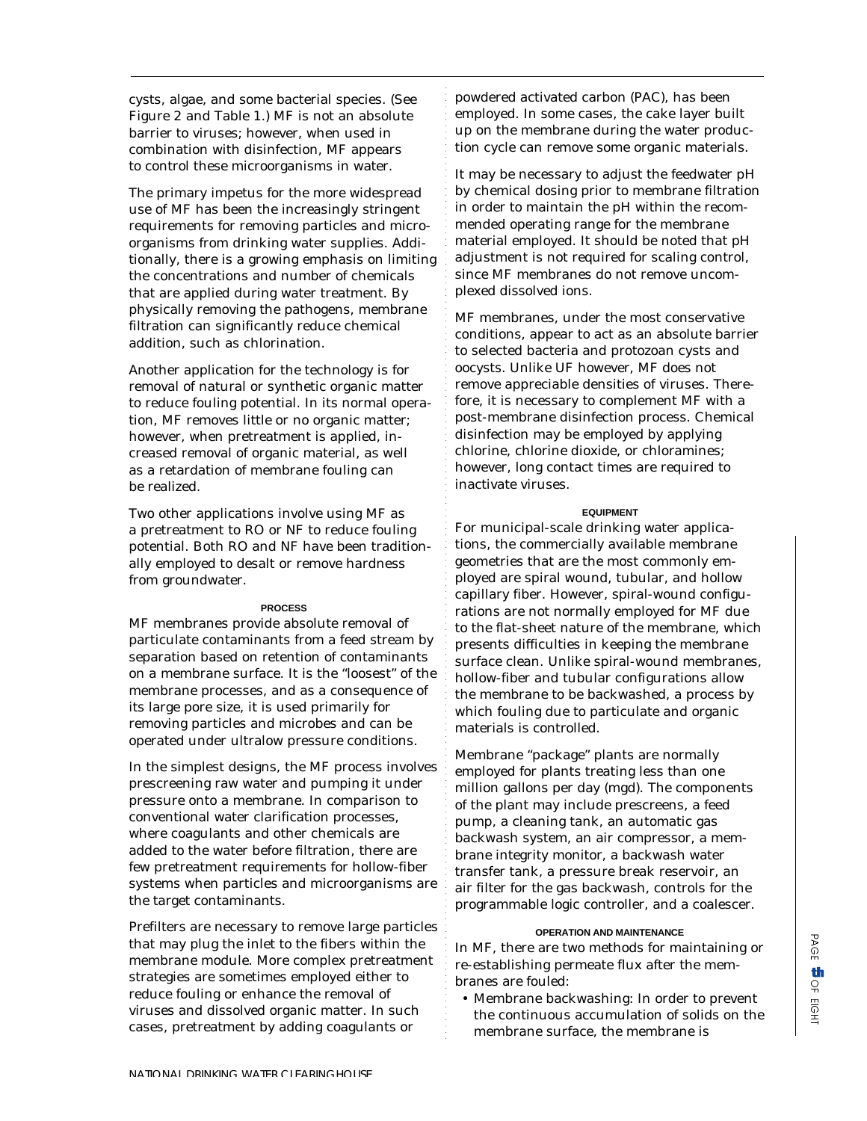cysts, algae, and some bacterial species. (See Figure 2 and Table 1.) MF is not an absolute barrier to viruses; however, when used in combination with disinfection, MF appears to control these microorganisms in water.

The primary impetus for the more widespread use of MF has been the increasingly stringent requirements for removing particles and microorganisms from drinking water supplies. Additionally, there is a growing emphasis on limiting the concentrations and number of chemicals that are applied during water treatment. By physically removing the pathogens, membrane filtration can significantly reduce chemical addition, such as chlorination.

Another application for the technology is for removal of natural or synthetic organic matter to reduce fouling potential. In its normal operation, MF removes little or no organic matter; however, when pretreatment is applied, increased removal of organic material, as well as a retardation of membrane fouling can be realized.

Two other applications involve using MF as a pretreatment to RO or NF to reduce fouling potential. Both RO and NF have been traditionally employed to desalt or remove hardness from groundwater.

#### **PROCESS**

MF membranes provide absolute removal of particulate contaminants from a feed stream by separation based on retention of contaminants on a membrane surface. It is the "loosest" of the membrane processes, and as a consequence of its large pore size, it is used primarily for removing particles and microbes and can be operated under ultralow pressure conditions.

In the simplest designs, the MF process involves prescreening raw water and pumping it under pressure onto a membrane. In comparison to conventional water clarification processes, where coagulants and other chemicals are added to the water before filtration, there are few pretreatment requirements for hollow-fiber systems when particles and microorganisms are the target contaminants.

Prefilters are necessary to remove large particles that may plug the inlet to the fibers within the membrane module. More complex pretreatment strategies are sometimes employed either to reduce fouling or enhance the removal of viruses and dissolved organic matter. In such cases, pretreatment by adding coagulants or

powdered activated carbon (PAC), has been employed. In some cases, the cake layer built up on the membrane during the water production cycle can remove some organic materials.

It may be necessary to adjust the feedwater pH by chemical dosing prior to membrane filtration in order to maintain the pH within the recommended operating range for the membrane material employed. It should be noted that pH adjustment is not required for scaling control, since MF membranes do not remove uncomplexed dissolved ions.

MF membranes, under the most conservative conditions, appear to act as an absolute barrier to selected bacteria and protozoan cysts and oocysts. Unlike UF however, MF does not remove appreciable densities of viruses. Therefore, it is necessary to complement MF with a post-membrane disinfection process. Chemical disinfection may be employed by applying chlorine, chlorine dioxide, or chloramines; however, long contact times are required to inactivate viruses.

#### **EQUIPMENT**

For municipal-scale drinking water applications, the commercially available membrane geometries that are the most commonly employed are spiral wound, tubular, and hollow capillary fiber. However, spiral-wound configurations are not normally employed for MF due to the flat-sheet nature of the membrane, which presents difficulties in keeping the membrane surface clean. Unlike spiral-wound membranes, hollow-fiber and tubular configurations allow the membrane to be backwashed, a process by which fouling due to particulate and organic materials is controlled.

Membrane "package" plants are normally employed for plants treating less than one million gallons per day (mgd). The components of the plant may include prescreens, a feed pump, a cleaning tank, an automatic gas backwash system, an air compressor, a membrane integrity monitor, a backwash water transfer tank, a pressure break reservoir, an air filter for the gas backwash, controls for the programmable logic controller, and a coalescer.

#### **OPERATION AND MAINTENANCE**

In MF, there are two methods for maintaining or re-establishing permeate flux after the membranes are fouled:

• Membrane backwashing: In order to prevent the continuous accumulation of solids on the membrane surface, the membrane is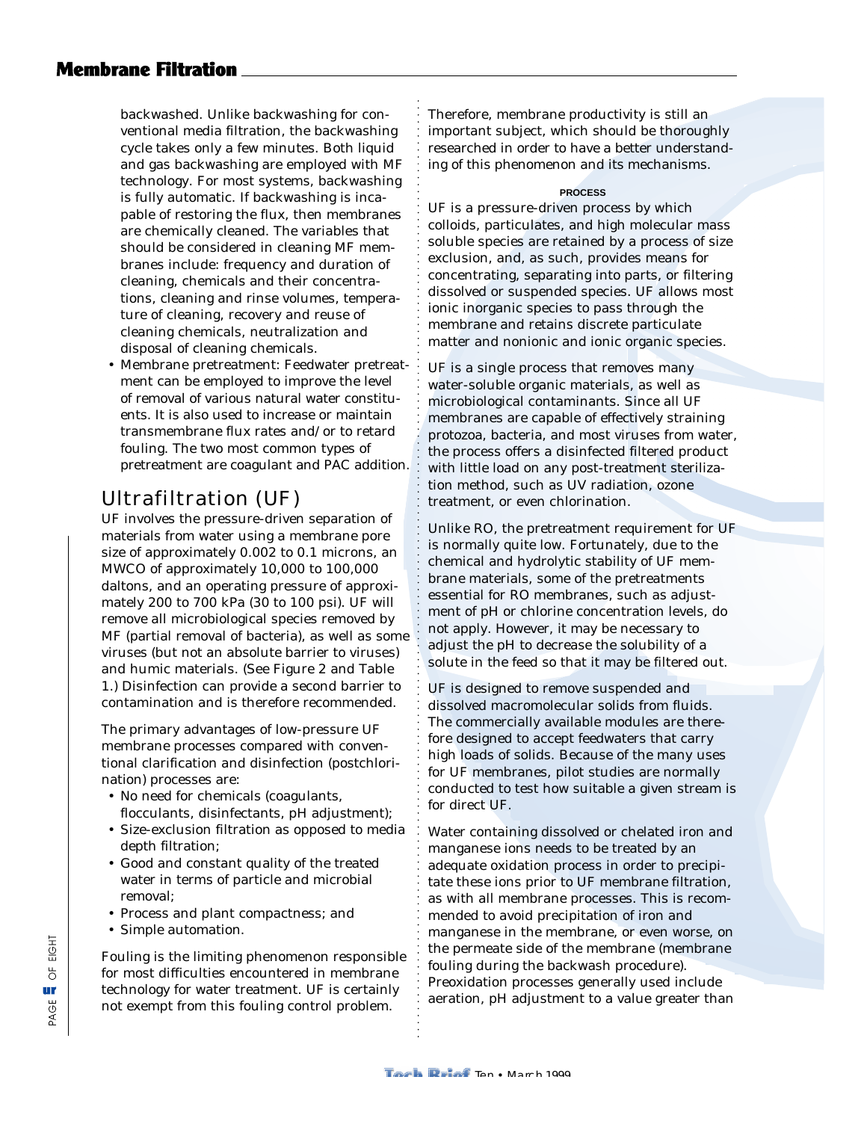backwashed. Unlike backwashing for conventional media filtration, the backwashing cycle takes only a few minutes. Both liquid and gas backwashing are employed with MF technology. For most systems, backwashing is fully automatic. If backwashing is incapable of restoring the flux, then membranes are chemically cleaned. The variables that should be considered in cleaning MF membranes include: frequency and duration of cleaning, chemicals and their concentrations, cleaning and rinse volumes, temperature of cleaning, recovery and reuse of cleaning chemicals, neutralization and disposal of cleaning chemicals.

• Membrane pretreatment: Feedwater pretreatment can be employed to improve the level of removal of various natural water constituents. It is also used to increase or maintain transmembrane flux rates and/or to retard fouling. The two most common types of pretreatment are coagulant and PAC addition.

# Ultrafiltration (UF)

UF involves the pressure-driven separation of materials from water using a membrane pore size of approximately 0.002 to 0.1 microns, an MWCO of approximately 10,000 to 100,000 daltons, and an operating pressure of approximately 200 to 700 kPa (30 to 100 psi). UF will remove all microbiological species removed by MF (partial removal of bacteria), as well as some viruses (but not an absolute barrier to viruses) and humic materials. (See Figure 2 and Table 1.) Disinfection can provide a second barrier to contamination and is therefore recommended.

The primary advantages of low-pressure UF membrane processes compared with conventional clarification and disinfection (postchlorination) processes are:

- No need for chemicals (coagulants, flocculants, disinfectants, pH adjustment);
- Size-exclusion filtration as opposed to media depth filtration;
- Good and constant quality of the treated water in terms of particle and microbial removal;
- Process and plant compactness; and
- Simple automation.

Fouling is the limiting phenomenon responsible for most difficulties encountered in membrane technology for water treatment. UF is certainly not exempt from this fouling control problem.

Therefore, membrane productivity is still an important subject, which should be thoroughly researched in order to have a better understanding of this phenomenon and its mechanisms.

### **PROCESS**

UF is a pressure-driven process by which colloids, particulates, and high molecular mass soluble species are retained by a process of size exclusion, and, as such, provides means for concentrating, separating into parts, or filtering dissolved or suspended species. UF allows most ionic inorganic species to pass through the membrane and retains discrete particulate matter and nonionic and ionic organic species.

UF is a single process that removes many water-soluble organic materials, as well as microbiological contaminants. Since all UF membranes are capable of effectively straining protozoa, bacteria, and most viruses from water, the process offers a disinfected filtered product with little load on any post-treatment sterilization method, such as UV radiation, ozone treatment, or even chlorination.

Unlike RO, the pretreatment requirement for UF is normally quite low. Fortunately, due to the chemical and hydrolytic stability of UF membrane materials, some of the pretreatments essential for RO membranes, such as adjustment of pH or chlorine concentration levels, do not apply. However, it may be necessary to adjust the pH to decrease the solubility of a solute in the feed so that it may be filtered out.

UF is designed to remove suspended and dissolved macromolecular solids from fluids. The commercially available modules are therefore designed to accept feedwaters that carry high loads of solids. Because of the many uses for UF membranes, pilot studies are normally conducted to test how suitable a given stream is for direct UF.

Water containing dissolved or chelated iron and manganese ions needs to be treated by an adequate oxidation process in order to precipitate these ions prior to UF membrane filtration, as with all membrane processes. This is recommended to avoid precipitation of iron and manganese in the membrane, or even worse, on the permeate side of the membrane (membrane fouling during the backwash procedure). Preoxidation processes generally used include aeration, pH adjustment to a value greater than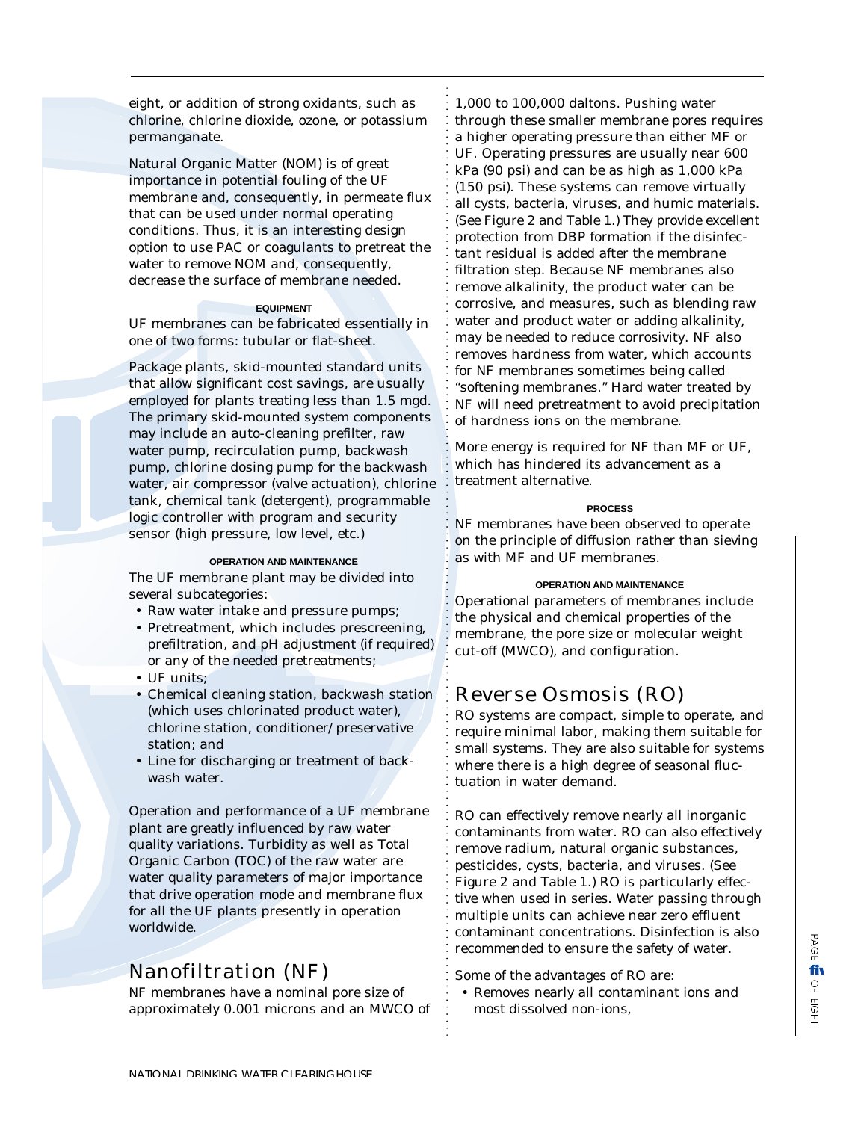eight, or addition of strong oxidants, such as chlorine, chlorine dioxide, ozone, or potassium permanganate.

Natural Organic Matter (NOM) is of great importance in potential fouling of the UF membrane and, consequently, in permeate flux that can be used under normal operating conditions. Thus, it is an interesting design option to use PAC or coagulants to pretreat the water to remove NOM and, consequently, decrease the surface of membrane needed.

#### **EQUIPMENT**

UF membranes can be fabricated essentially in one of two forms: tubular or flat-sheet.

Package plants, skid-mounted standard units that allow significant cost savings, are usually employed for plants treating less than 1.5 mgd. The primary skid-mounted system components may include an auto-cleaning prefilter, raw water pump, recirculation pump, backwash pump, chlorine dosing pump for the backwash water, air compressor (valve actuation), chlorine tank, chemical tank (detergent), programmable logic controller with program and security sensor (high pressure, low level, etc.)

#### **OPERATION AND MAINTENANCE**

The UF membrane plant may be divided into several subcategories:

- Raw water intake and pressure pumps;
- Pretreatment, which includes prescreening, prefiltration, and pH adjustment (if required) or any of the needed pretreatments;
- UF units;
- Chemical cleaning station, backwash station (which uses chlorinated product water), chlorine station, conditioner/preservative station; and
- Line for discharging or treatment of backwash water.

Operation and performance of a UF membrane plant are greatly influenced by raw water quality variations. Turbidity as well as Total Organic Carbon (TOC) of the raw water are water quality parameters of major importance that drive operation mode and membrane flux for all the UF plants presently in operation worldwide.

## Nanofiltration (NF)

NF membranes have a nominal pore size of approximately 0.001 microns and an MWCO of

1,000 to 100,000 daltons. Pushing water through these smaller membrane pores requires a higher operating pressure than either MF or UF. Operating pressures are usually near 600 kPa (90 psi) and can be as high as 1,000 kPa (150 psi). These systems can remove virtually all cysts, bacteria, viruses, and humic materials. (See Figure 2 and Table 1.) They provide excellent protection from DBP formation if the disinfectant residual is added after the membrane filtration step. Because NF membranes also remove alkalinity, the product water can be corrosive, and measures, such as blending raw water and product water or adding alkalinity, may be needed to reduce corrosivity. NF also removes hardness from water, which accounts for NF membranes sometimes being called "softening membranes." Hard water treated by NF will need pretreatment to avoid precipitation of hardness ions on the membrane.

More energy is required for NF than MF or UF, which has hindered its advancement as a treatment alternative.

#### **PROCESS**

NF membranes have been observed to operate on the principle of diffusion rather than sieving as with MF and UF membranes.

#### **OPERATION AND MAINTENANCE**

Operational parameters of membranes include the physical and chemical properties of the membrane, the pore size or molecular weight cut-off (MWCO), and configuration.

# Reverse Osmosis (RO)

RO systems are compact, simple to operate, and require minimal labor, making them suitable for small systems. They are also suitable for systems where there is a high degree of seasonal fluctuation in water demand.

RO can effectively remove nearly all inorganic contaminants from water. RO can also effectively remove radium, natural organic substances, pesticides, cysts, bacteria, and viruses. (See Figure 2 and Table 1.) RO is particularly effective when used in series. Water passing through multiple units can achieve near zero effluent contaminant concentrations. Disinfection is also recommended to ensure the safety of water.

Some of the advantages of RO are:

• Removes nearly all contaminant ions and most dissolved non-ions,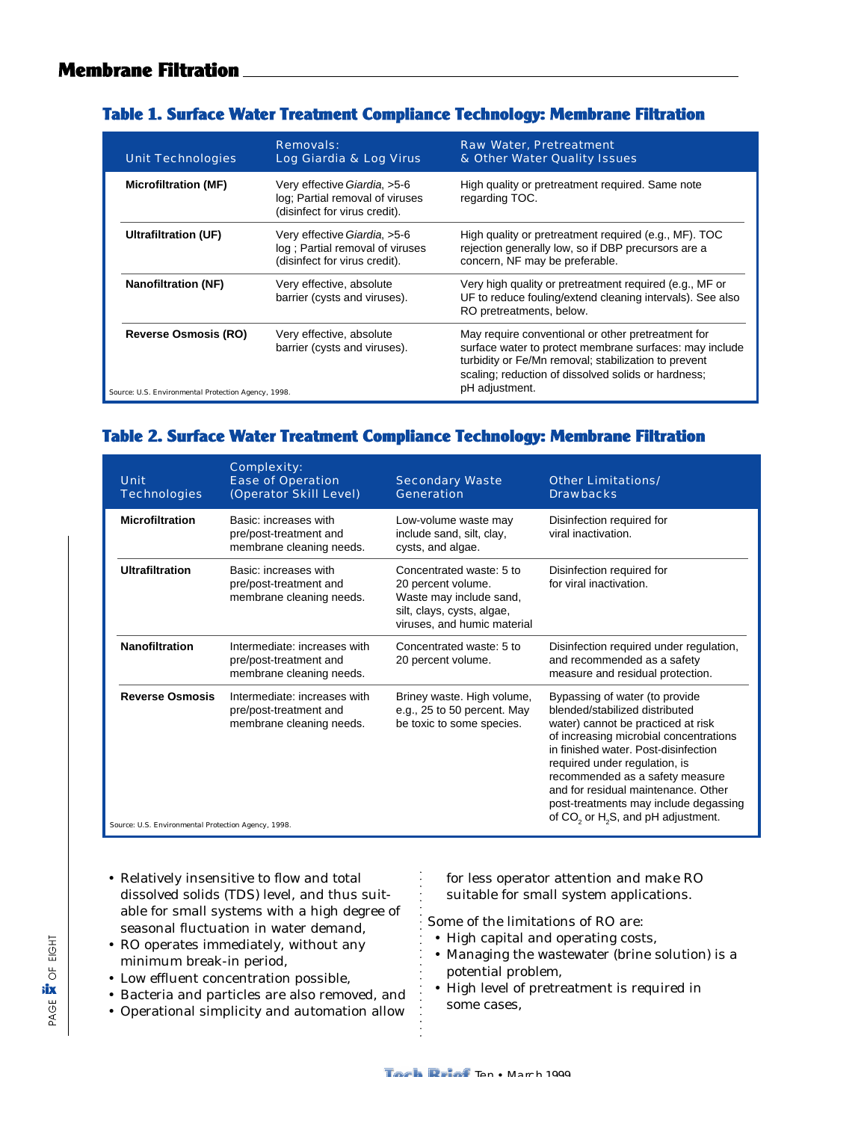| <b>Unit Technologies</b>                                                           | <b>Removals:</b><br>Log Giardia & Log Virus                                                       | <b>Raw Water, Pretreatment</b><br>& Other Water Quality Issues                                                                                                                                                                                 |  |
|------------------------------------------------------------------------------------|---------------------------------------------------------------------------------------------------|------------------------------------------------------------------------------------------------------------------------------------------------------------------------------------------------------------------------------------------------|--|
| <b>Microfiltration (MF)</b>                                                        | Very effective Giardia, >5-6<br>log; Partial removal of viruses<br>(disinfect for virus credit).  | High quality or pretreatment required. Same note<br>regarding TOC.                                                                                                                                                                             |  |
| Ultrafiltration (UF)                                                               | Very effective Giardia, >5-6<br>log : Partial removal of viruses<br>(disinfect for virus credit). | High quality or pretreatment required (e.g., MF). TOC<br>rejection generally low, so if DBP precursors are a<br>concern, NF may be preferable.                                                                                                 |  |
| <b>Nanofiltration (NF)</b>                                                         | Very effective, absolute<br>barrier (cysts and viruses).                                          | Very high quality or pretreatment required (e.g., MF or<br>UF to reduce fouling/extend cleaning intervals). See also<br>RO pretreatments, below.                                                                                               |  |
| <b>Reverse Osmosis (RO)</b><br>Source: U.S. Environmental Protection Agency, 1998. | Very effective, absolute<br>barrier (cysts and viruses).                                          | May require conventional or other pretreatment for<br>surface water to protect membrane surfaces: may include<br>turbidity or Fe/Mn removal; stabilization to prevent<br>scaling; reduction of dissolved solids or hardness;<br>pH adjustment. |  |

## Table 1. Surface Water Treatment Compliance Technology: Membrane Filtration

## Table 2. Surface Water Treatment Compliance Technology: Membrane Filtration

|  | <b>Unit</b><br><b>Technologies</b>                  | <b>Complexity:</b><br><b>Ease of Operation</b><br>(Operator Skill Level)           | <b>Secondary Waste</b><br><b>Generation</b>                                                                                            | <b>Other Limitations/</b><br><b>Drawbacks</b>                                                                                                                                                                                                                                                                                                                                                    |  |  |  |
|--|-----------------------------------------------------|------------------------------------------------------------------------------------|----------------------------------------------------------------------------------------------------------------------------------------|--------------------------------------------------------------------------------------------------------------------------------------------------------------------------------------------------------------------------------------------------------------------------------------------------------------------------------------------------------------------------------------------------|--|--|--|
|  | <b>Microfiltration</b>                              | Basic: increases with<br>pre/post-treatment and<br>membrane cleaning needs.        | Low-volume waste may<br>include sand, silt, clay,<br>cysts, and algae.                                                                 | Disinfection required for<br>viral inactivation.                                                                                                                                                                                                                                                                                                                                                 |  |  |  |
|  | <b>Ultrafiltration</b>                              | Basic: increases with<br>pre/post-treatment and<br>membrane cleaning needs.        | Concentrated waste: 5 to<br>20 percent volume.<br>Waste may include sand,<br>silt, clays, cysts, algae,<br>viruses, and humic material | Disinfection required for<br>for viral inactivation.                                                                                                                                                                                                                                                                                                                                             |  |  |  |
|  | <b>Nanofiltration</b>                               | Intermediate: increases with<br>pre/post-treatment and<br>membrane cleaning needs. | Concentrated waste: 5 to<br>20 percent volume.                                                                                         | Disinfection required under regulation,<br>and recommended as a safety<br>measure and residual protection.                                                                                                                                                                                                                                                                                       |  |  |  |
|  | <b>Reverse Osmosis</b>                              | Intermediate: increases with<br>pre/post-treatment and<br>membrane cleaning needs. | Briney waste. High volume,<br>e.g., 25 to 50 percent. May<br>be toxic to some species.                                                 | Bypassing of water (to provide<br>blended/stabilized distributed<br>water) cannot be practiced at risk<br>of increasing microbial concentrations<br>in finished water. Post-disinfection<br>required under regulation, is<br>recommended as a safety measure<br>and for residual maintenance. Other<br>post-treatments may include degassing<br>of $CO2$ or H <sub>2</sub> S, and pH adjustment. |  |  |  |
|  | Source: U.S. Environmental Protection Agency, 1998. |                                                                                    |                                                                                                                                        |                                                                                                                                                                                                                                                                                                                                                                                                  |  |  |  |

- Relatively insensitive to flow and total dissolved solids (TDS) level, and thus suitable for small systems with a high degree of seasonal fluctuation in water demand,
- RO operates immediately, without any minimum break-in period,
- Low effluent concentration possible,
- Bacteria and particles are also removed, and
- Operational simplicity and automation allow

for less operator attention and make RO suitable for small system applications.

Some of the limitations of RO are:

- High capital and operating costs,
- Managing the wastewater (brine solution) is a potential problem,
- High level of pretreatment is required in some cases,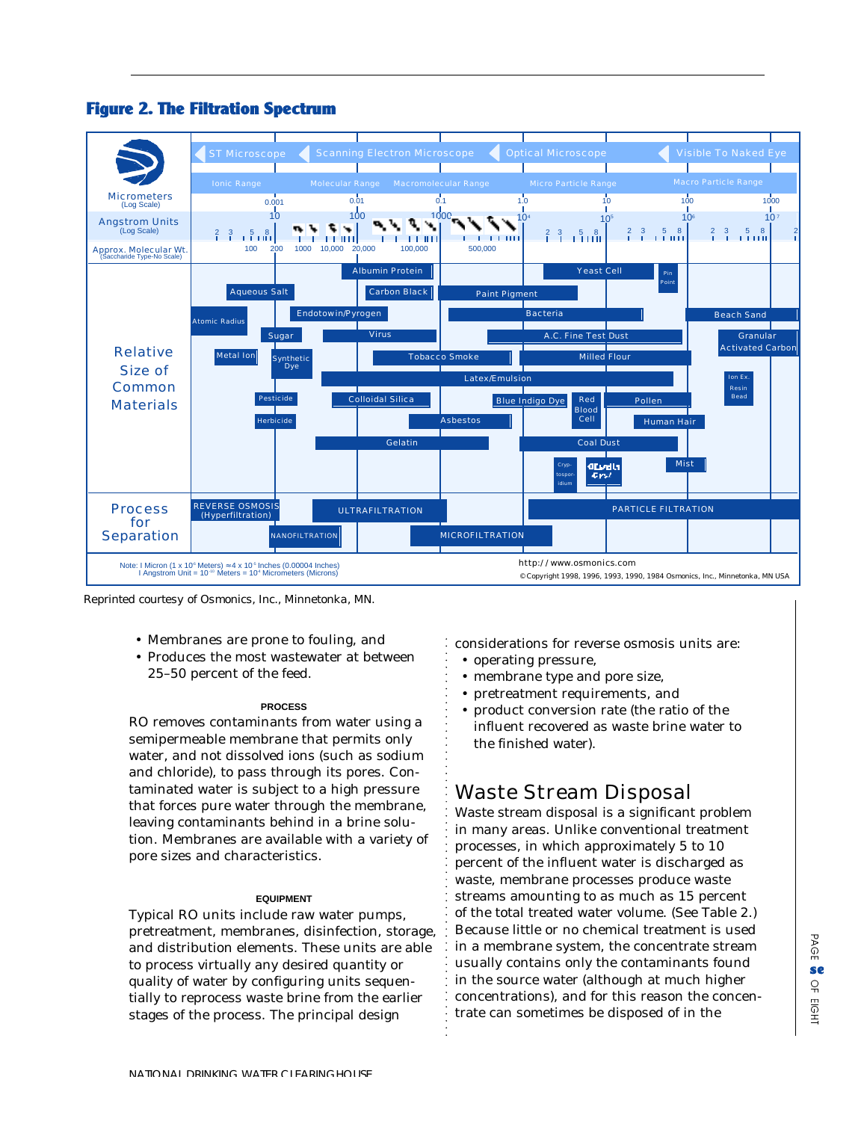

## **Figure 2. The Filtration Spectrum**

*Reprinted courtesy of Osmonics, Inc., Minnetonka, MN.*

- Membranes are prone to fouling, and
- Produces the most wastewater at between 25–50 percent of the feed.

#### **PROCESS**

RO removes contaminants from water using a semipermeable membrane that permits only water, and not dissolved ions (such as sodium and chloride), to pass through its pores. Contaminated water is subject to a high pressure that forces pure water through the membrane, leaving contaminants behind in a brine solution. Membranes are available with a variety of pore sizes and characteristics.

#### **EQUIPMENT**

Typical RO units include raw water pumps, pretreatment, membranes, disinfection, storage, and distribution elements. These units are able to process virtually any desired quantity or quality of water by configuring units sequentially to reprocess waste brine from the earlier stages of the process. The principal design

considerations for reverse osmosis units are:

- operating pressure,
- membrane type and pore size,
- pretreatment requirements, and
- product conversion rate (the ratio of the influent recovered as waste brine water to the finished water).

# Waste Stream Disposal

Waste stream disposal is a significant problem in many areas. Unlike conventional treatment processes, in which approximately 5 to 10 percent of the influent water is discharged as waste, membrane processes produce waste streams amounting to as much as 15 percent of the total treated water volume. (See Table 2.) Because little or no chemical treatment is used in a membrane system, the concentrate stream usually contains only the contaminants found in the source water (although at much higher concentrations), and for this reason the concentrate can sometimes be disposed of in the